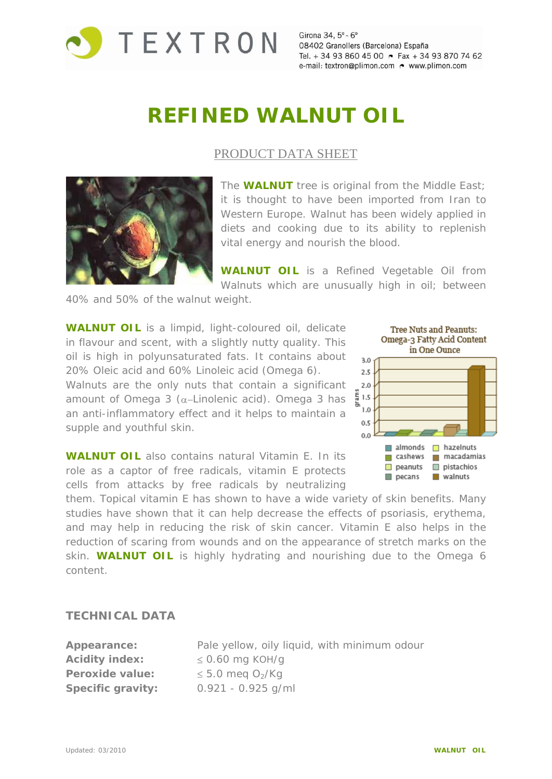

Girona 34, 5° - 6° 08402 Granollers (Barcelona) España Tel. + 34 93 860 45 00 • Fax + 34 93 870 74 62 e-mail: textron@plimon.com . www.plimon.com

# **REFINED WALNUT OIL**

### PRODUCT DATA SHEET



The **WALNUT** tree is original from the Middle East; it is thought to have been imported from Iran to Western Europe. Walnut has been widely applied in diets and cooking due to its ability to replenish vital energy and nourish the blood.

**WALNUT OIL** is a Refined Vegetable Oil from Walnuts which are unusually high in oil; between

40% and 50% of the walnut weight.

**WALNUT OIL** is a limpid, light-coloured oil, delicate Tree Nuts and Peanuts: in flavour and scent, with a slightly nutty quality. This **Omega-3 Fatty Acid Content** oil is high in polyunsaturated fats. It contains about  $\mathbf{a}_0$ 20% Oleic acid and 60% Linoleic acid (Omega 6). Walnuts are the only nuts that contain a significant 2.0 amount of Omega 3 ( $\alpha$ -Linolenic acid). Omega 3 has  $\frac{5}{5}$ <sup>1.5</sup> an anti-inflammatory effect and it helps to maintain a  $\frac{1.0}{0.5}$ supple and youthful skin.

**WALNUT OIL** also contains natural Vitamin E. In its **The Cashews** macadamias role as a captor of free radicals, vitamin E protects **Demonsion Example 19 and 19 years** Postachios cells from attacks by free radicals by neutralizing



them. Topical vitamin E has shown to have a wide variety of skin benefits. Many studies have shown that it can help decrease the effects of psoriasis, erythema, and may help in reducing the risk of skin cancer. Vitamin E also helps in the reduction of scaring from wounds and on the appearance of stretch marks on the skin. **WALNUT OIL** is highly hydrating and nourishing due to the Omega 6 content.

#### **TECHNICAL DATA**

| Appearance:           | Pale yellow, oily liquid, with minimum odour |
|-----------------------|----------------------------------------------|
| <b>Acidity index:</b> | $\leq$ 0.60 mg KOH/g                         |
| Peroxide value:       | $\leq$ 5.0 meg O <sub>2</sub> /Kg            |
| Specific gravity:     | $0.921 - 0.925$ g/ml                         |